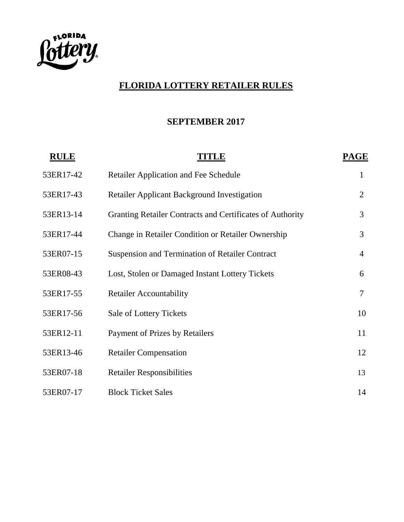

# **FLORIDA LOTTERY RETAILER RULES**

#### **SEPTEMBER 2017**

| <b>RULE</b> | TITLE                                                     | <b>PAGE</b>    |
|-------------|-----------------------------------------------------------|----------------|
| 53ER17-42   | <b>Retailer Application and Fee Schedule</b>              | 1              |
| 53ER17-43   | <b>Retailer Applicant Background Investigation</b>        | $\overline{2}$ |
| 53ER13-14   | Granting Retailer Contracts and Certificates of Authority | 3              |
| 53ER17-44   | Change in Retailer Condition or Retailer Ownership        | 3              |
| 53ER07-15   | <b>Suspension and Termination of Retailer Contract</b>    | $\overline{4}$ |
| 53ER08-43   | Lost, Stolen or Damaged Instant Lottery Tickets           | 6              |
| 53ER17-55   | <b>Retailer Accountability</b>                            | $\tau$         |
| 53ER17-56   | Sale of Lottery Tickets                                   | 10             |
| 53ER12-11   | <b>Payment of Prizes by Retailers</b>                     | 11             |
| 53ER13-46   | <b>Retailer Compensation</b>                              | 12             |
| 53ER07-18   | <b>Retailer Responsibilities</b>                          | 13             |
| 53ER07-17   | <b>Block Ticket Sales</b>                                 | 14             |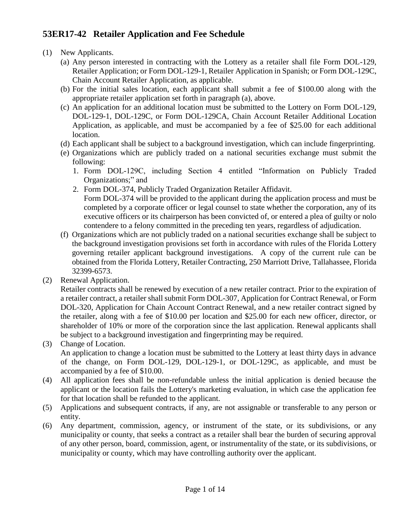## **53ER17-42 Retailer Application and Fee Schedule**

- (1) New Applicants.
	- (a) Any person interested in contracting with the Lottery as a retailer shall file Form DOL-129, Retailer Application; or Form DOL-129-1, Retailer Application in Spanish; or Form DOL-129C, Chain Account Retailer Application, as applicable.
	- (b) For the initial sales location, each applicant shall submit a fee of \$100.00 along with the appropriate retailer application set forth in paragraph (a), above.
	- (c) An application for an additional location must be submitted to the Lottery on Form DOL-129, DOL-129-1, DOL-129C, or Form DOL-129CA, Chain Account Retailer Additional Location Application, as applicable, and must be accompanied by a fee of \$25.00 for each additional location.
	- (d) Each applicant shall be subject to a background investigation, which can include fingerprinting.
	- (e) Organizations which are publicly traded on a national securities exchange must submit the following:
		- 1. Form DOL-129C, including Section 4 entitled "Information on Publicly Traded Organizations;" and
		- 2. Form DOL-374, Publicly Traded Organization Retailer Affidavit. Form DOL-374 will be provided to the applicant during the application process and must be completed by a corporate officer or legal counsel to state whether the corporation, any of its
	- executive officers or its chairperson has been convicted of, or entered a plea of guilty or nolo contendere to a felony committed in the preceding ten years, regardless of adjudication. (f) Organizations which are not publicly traded on a national securities exchange shall be subject to
	- the background investigation provisions set forth in accordance with rules of the Florida Lottery governing retailer applicant background investigations. A copy of the current rule can be obtained from the Florida Lottery, Retailer Contracting, 250 Marriott Drive, Tallahassee, Florida 32399-6573.
- (2) Renewal Application.

Retailer contracts shall be renewed by execution of a new retailer contract. Prior to the expiration of a retailer contract, a retailer shall submit Form DOL-307, Application for Contract Renewal, or Form DOL-320, Application for Chain Account Contract Renewal, and a new retailer contract signed by the retailer, along with a fee of \$10.00 per location and \$25.00 for each new officer, director, or shareholder of 10% or more of the corporation since the last application. Renewal applicants shall be subject to a background investigation and fingerprinting may be required.

(3) Change of Location.

An application to change a location must be submitted to the Lottery at least thirty days in advance of the change, on Form DOL-129, DOL-129-1, or DOL-129C, as applicable, and must be accompanied by a fee of \$10.00.

- (4) All application fees shall be non-refundable unless the initial application is denied because the applicant or the location fails the Lottery's marketing evaluation, in which case the application fee for that location shall be refunded to the applicant.
- (5) Applications and subsequent contracts, if any, are not assignable or transferable to any person or entity.
- (6) Any department, commission, agency, or instrument of the state, or its subdivisions, or any municipality or county, that seeks a contract as a retailer shall bear the burden of securing approval of any other person, board, commission, agent, or instrumentality of the state, or its subdivisions, or municipality or county, which may have controlling authority over the applicant.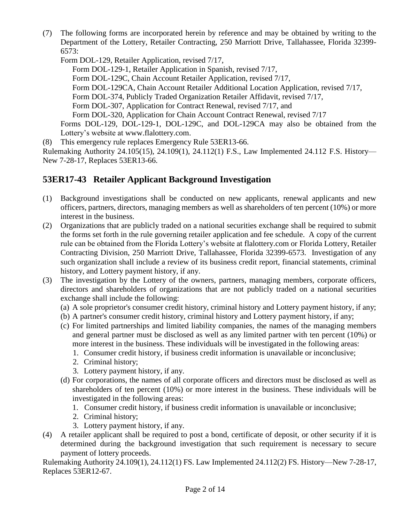(7) The following forms are incorporated herein by reference and may be obtained by writing to the Department of the Lottery, Retailer Contracting, 250 Marriott Drive, Tallahassee, Florida 32399- 6573:

Form DOL-129, Retailer Application, revised 7/17,

Form DOL-129-1, Retailer Application in Spanish, revised 7/17, Form DOL-129C, Chain Account Retailer Application, revised 7/17, Form DOL-129CA, Chain Account Retailer Additional Location Application, revised 7/17, Form DOL-374, Publicly Traded Organization Retailer Affidavit, revised 7/17, Form DOL-307, Application for Contract Renewal, revised 7/17, and Form DOL-320, Application for Chain Account Contract Renewal, revised 7/17 Forms DOL-129, DOL-129-1, DOL-129C, and DOL-129CA may also be obtained from the Lottery's website at [www.flalottery.com.](http://www.flalottery.com/)

(8) This emergency rule replaces Emergency Rule 53ER13-66.

Rulemaking Authority 24.105(15), 24.109(1), 24.112(1) F.S., Law Implemented 24.112 F.S. History— New 7-28-17, Replaces 53ER13-66.

### **53ER17-43 Retailer Applicant Background Investigation**

- (1) Background investigations shall be conducted on new applicants, renewal applicants and new officers, partners, directors, managing members as well as shareholders of ten percent (10%) or more interest in the business.
- (2) Organizations that are publicly traded on a national securities exchange shall be required to submit the forms set forth in the rule governing retailer application and fee schedule. A copy of the current rule can be obtained from the Florida Lottery's website at [flalottery.com](http://www.flalottery.com/) or Florida Lottery, Retailer Contracting Division, 250 Marriott Drive, Tallahassee, Florida 32399-6573. Investigation of any such organization shall include a review of its business credit report, financial statements, criminal history, and Lottery payment history, if any.
- (3) The investigation by the Lottery of the owners, partners, managing members, corporate officers, directors and shareholders of organizations that are not publicly traded on a national securities exchange shall include the following:
	- (a) A sole proprietor's consumer credit history, criminal history and Lottery payment history, if any;
	- (b) A partner's consumer credit history, criminal history and Lottery payment history, if any;
	- (c) For limited partnerships and limited liability companies, the names of the managing members and general partner must be disclosed as well as any limited partner with ten percent (10%) or more interest in the business. These individuals will be investigated in the following areas:
		- 1. Consumer credit history, if business credit information is unavailable or inconclusive;
		- 2. Criminal history;
		- 3. Lottery payment history, if any.
	- (d) For corporations, the names of all corporate officers and directors must be disclosed as well as shareholders of ten percent (10%) or more interest in the business. These individuals will be investigated in the following areas:
		- 1. Consumer credit history, if business credit information is unavailable or inconclusive;
		- 2. Criminal history;
		- 3. Lottery payment history, if any.
- (4) A retailer applicant shall be required to post a bond, certificate of deposit, or other security if it is determined during the background investigation that such requirement is necessary to secure payment of lottery proceeds.

Rulemaking Authority 24.109(1), 24.112(1) FS. Law Implemented 24.112(2) FS. History—New 7-28-17, Replaces 53ER12-67.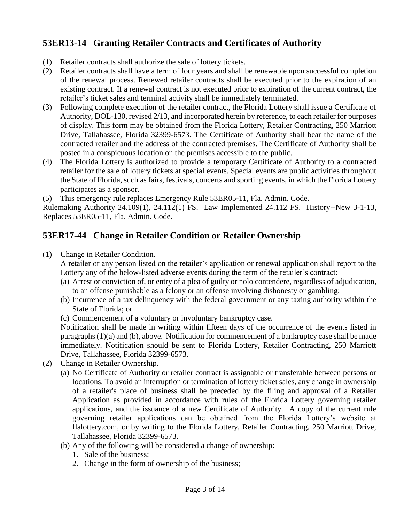## **53ER13-14 Granting Retailer Contracts and Certificates of Authority**

- (1) Retailer contracts shall authorize the sale of lottery tickets.
- (2) Retailer contracts shall have a term of four years and shall be renewable upon successful completion of the renewal process. Renewed retailer contracts shall be executed prior to the expiration of an existing contract. If a renewal contract is not executed prior to expiration of the current contract, the retailer's ticket sales and terminal activity shall be immediately terminated.
- (3) Following complete execution of the retailer contract, the Florida Lottery shall issue a Certificate of Authority, DOL-130, revised 2/13, and incorporated herein by reference, to each retailer for purposes of display. This form may be obtained from the Florida Lottery, Retailer Contracting, 250 Marriott Drive, Tallahassee, Florida 32399-6573. The Certificate of Authority shall bear the name of the contracted retailer and the address of the contracted premises. The Certificate of Authority shall be posted in a conspicuous location on the premises accessible to the public.
- (4) The Florida Lottery is authorized to provide a temporary Certificate of Authority to a contracted retailer for the sale of lottery tickets at special events. Special events are public activities throughout the State of Florida, such as fairs, festivals, concerts and sporting events, in which the Florida Lottery participates as a sponsor.

(5) This emergency rule replaces Emergency Rule 53ER05-11, Fla. Admin. Code.

Rulemaking Authority 24.109(1), 24.112(1) FS. Law Implemented 24.112 FS. History--New 3-1-13, Replaces 53ER05-11, Fla. Admin. Code.

#### **53ER17-44 Change in Retailer Condition or Retailer Ownership**

(1) Change in Retailer Condition.

A retailer or any person listed on the retailer's application or renewal application shall report to the Lottery any of the below-listed adverse events during the term of the retailer's contract:

- (a) Arrest or conviction of, or entry of a plea of guilty or nolo contendere, regardless of adjudication, to an offense punishable as a felony or an offense involving dishonesty or gambling;
- (b) Incurrence of a tax delinquency with the federal government or any taxing authority within the State of Florida; or
- (c) Commencement of a voluntary or involuntary bankruptcy case.

Notification shall be made in writing within fifteen days of the occurrence of the events listed in paragraphs (1)(a) and (b), above. Notification for commencement of a bankruptcy case shall be made immediately. Notification should be sent to Florida Lottery, Retailer Contracting, 250 Marriott Drive, Tallahassee, Florida 32399-6573.

- (2) Change in Retailer Ownership.
	- (a) No Certificate of Authority or retailer contract is assignable or transferable between persons or locations. To avoid an interruption or termination of lottery ticket sales, any change in ownership of a retailer's place of business shall be preceded by the filing and approval of a Retailer Application as provided in accordance with rules of the Florida Lottery governing retailer applications, and the issuance of a new Certificate of Authority. A copy of the current rule governing retailer applications can be obtained from the Florida Lottery's website at [flalottery.com,](http://flalottery.com/) or by writing to the Florida Lottery, Retailer Contracting, 250 Marriott Drive, Tallahassee, Florida 32399-6573.
	- (b) Any of the following will be considered a change of ownership:
		- 1. Sale of the business;
		- 2. Change in the form of ownership of the business;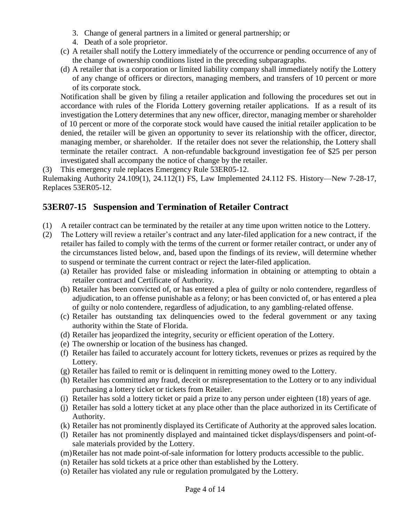- 3. Change of general partners in a limited or general partnership; or
- 4. Death of a sole proprietor.
- (c) A retailer shall notify the Lottery immediately of the occurrence or pending occurrence of any of the change of ownership conditions listed in the preceding subparagraphs.
- (d) A retailer that is a corporation or limited liability company shall immediately notify the Lottery of any change of officers or directors, managing members, and transfers of 10 percent or more of its corporate stock.

Notification shall be given by filing a retailer application and following the procedures set out in accordance with rules of the Florida Lottery governing retailer applications. If as a result of its investigation the Lottery determines that any new officer, director, managing member or shareholder of 10 percent or more of the corporate stock would have caused the initial retailer application to be denied, the retailer will be given an opportunity to sever its relationship with the officer, director, managing member, or shareholder. If the retailer does not sever the relationship, the Lottery shall terminate the retailer contract. A non-refundable background investigation fee of \$25 per person investigated shall accompany the notice of change by the retailer.

(3) This emergency rule replaces Emergency Rule 53ER05-12.

Rulemaking Authority 24.109(1), 24.112(1) FS, Law Implemented 24.112 FS. History—New 7-28-17, Replaces 53ER05-12.

#### **53ER07-15 Suspension and Termination of Retailer Contract**

- (1) A retailer contract can be terminated by the retailer at any time upon written notice to the Lottery.
- (2) The Lottery will review a retailer's contract and any later-filed application for a new contract, if the retailer has failed to comply with the terms of the current or former retailer contract, or under any of the circumstances listed below, and, based upon the findings of its review, will determine whether to suspend or terminate the current contract or reject the later-filed application.
	- (a) Retailer has provided false or misleading information in obtaining or attempting to obtain a retailer contract and Certificate of Authority.
	- (b) Retailer has been convicted of, or has entered a plea of guilty or nolo contendere, regardless of adjudication, to an offense punishable as a felony; or has been convicted of, or has entered a plea of guilty or nolo contendere, regardless of adjudication, to any gambling-related offense.
	- (c) Retailer has outstanding tax delinquencies owed to the federal government or any taxing authority within the State of Florida.
	- (d) Retailer has jeopardized the integrity, security or efficient operation of the Lottery.
	- (e) The ownership or location of the business has changed.
	- (f) Retailer has failed to accurately account for lottery tickets, revenues or prizes as required by the Lottery.
	- (g) Retailer has failed to remit or is delinquent in remitting money owed to the Lottery.
	- (h) Retailer has committed any fraud, deceit or misrepresentation to the Lottery or to any individual purchasing a lottery ticket or tickets from Retailer.
	- (i) Retailer has sold a lottery ticket or paid a prize to any person under eighteen (18) years of age.
	- (j) Retailer has sold a lottery ticket at any place other than the place authorized in its Certificate of Authority.
	- (k) Retailer has not prominently displayed its Certificate of Authority at the approved sales location.
	- (l) Retailer has not prominently displayed and maintained ticket displays/dispensers and point-ofsale materials provided by the Lottery.
	- (m)Retailer has not made point-of-sale information for lottery products accessible to the public.
	- (n) Retailer has sold tickets at a price other than established by the Lottery.
	- (o) Retailer has violated any rule or regulation promulgated by the Lottery.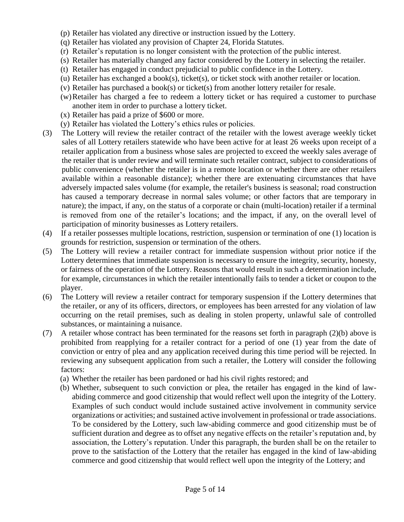- (p) Retailer has violated any directive or instruction issued by the Lottery.
- (q) Retailer has violated any provision of Chapter 24, Florida Statutes.
- (r) Retailer's reputation is no longer consistent with the protection of the public interest.
- (s) Retailer has materially changed any factor considered by the Lottery in selecting the retailer.
- (t) Retailer has engaged in conduct prejudicial to public confidence in the Lottery.
- (u) Retailer has exchanged a book(s), ticket(s), or ticket stock with another retailer or location.
- (v) Retailer has purchased a book(s) or ticket(s) from another lottery retailer for resale.
- (w)Retailer has charged a fee to redeem a lottery ticket or has required a customer to purchase another item in order to purchase a lottery ticket.
- (x) Retailer has paid a prize of \$600 or more.
- (y) Retailer has violated the Lottery's ethics rules or policies.
- (3) The Lottery will review the retailer contract of the retailer with the lowest average weekly ticket sales of all Lottery retailers statewide who have been active for at least 26 weeks upon receipt of a retailer application from a business whose sales are projected to exceed the weekly sales average of the retailer that is under review and will terminate such retailer contract, subject to considerations of public convenience (whether the retailer is in a remote location or whether there are other retailers available within a reasonable distance); whether there are extenuating circumstances that have adversely impacted sales volume (for example, the retailer's business is seasonal; road construction has caused a temporary decrease in normal sales volume; or other factors that are temporary in nature); the impact, if any, on the status of a corporate or chain (multi-location) retailer if a terminal is removed from one of the retailer's locations; and the impact, if any, on the overall level of participation of minority businesses as Lottery retailers.
- (4) If a retailer possesses multiple locations, restriction, suspension or termination of one (1) location is grounds for restriction, suspension or termination of the others.
- (5) The Lottery will review a retailer contract for immediate suspension without prior notice if the Lottery determines that immediate suspension is necessary to ensure the integrity, security, honesty, or fairness of the operation of the Lottery. Reasons that would result in such a determination include, for example, circumstances in which the retailer intentionally fails to tender a ticket or coupon to the player.
- (6) The Lottery will review a retailer contract for temporary suspension if the Lottery determines that the retailer, or any of its officers, directors, or employees has been arrested for any violation of law occurring on the retail premises, such as dealing in stolen property, unlawful sale of controlled substances, or maintaining a nuisance.
- (7) A retailer whose contract has been terminated for the reasons set forth in paragraph (2)(b) above is prohibited from reapplying for a retailer contract for a period of one (1) year from the date of conviction or entry of plea and any application received during this time period will be rejected. In reviewing any subsequent application from such a retailer, the Lottery will consider the following factors:
	- (a) Whether the retailer has been pardoned or had his civil rights restored; and
	- (b) Whether, subsequent to such conviction or plea, the retailer has engaged in the kind of lawabiding commerce and good citizenship that would reflect well upon the integrity of the Lottery. Examples of such conduct would include sustained active involvement in community service organizations or activities; and sustained active involvement in professional or trade associations. To be considered by the Lottery, such law-abiding commerce and good citizenship must be of sufficient duration and degree as to offset any negative effects on the retailer's reputation and, by association, the Lottery's reputation. Under this paragraph, the burden shall be on the retailer to prove to the satisfaction of the Lottery that the retailer has engaged in the kind of law-abiding commerce and good citizenship that would reflect well upon the integrity of the Lottery; and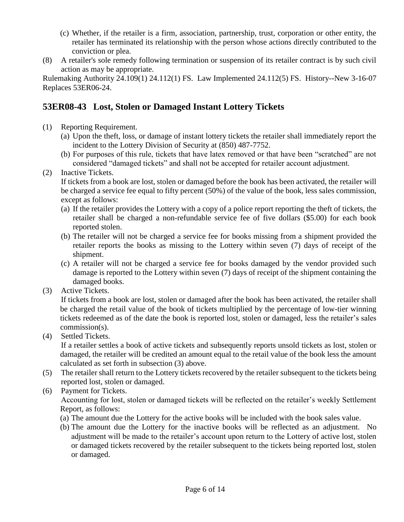- (c) Whether, if the retailer is a firm, association, partnership, trust, corporation or other entity, the retailer has terminated its relationship with the person whose actions directly contributed to the conviction or plea.
- (8) A retailer's sole remedy following termination or suspension of its retailer contract is by such civil action as may be appropriate.

Rulemaking Authority 24.109(1) 24.112(1) FS. Law Implemented 24.112(5) FS. History--New 3-16-07 Replaces 53ER06-24.

#### **53ER08-43 Lost, Stolen or Damaged Instant Lottery Tickets**

- (1) Reporting Requirement.
	- (a) Upon the theft, loss, or damage of instant lottery tickets the retailer shall immediately report the incident to the Lottery Division of Security at (850) 487-7752.
	- (b) For purposes of this rule, tickets that have latex removed or that have been "scratched" are not considered "damaged tickets" and shall not be accepted for retailer account adjustment.
- (2) Inactive Tickets.

If tickets from a book are lost, stolen or damaged before the book has been activated, the retailer will be charged a service fee equal to fifty percent (50%) of the value of the book, less sales commission, except as follows:

- (a) If the retailer provides the Lottery with a copy of a police report reporting the theft of tickets, the retailer shall be charged a non-refundable service fee of five dollars (\$5.00) for each book reported stolen.
- (b) The retailer will not be charged a service fee for books missing from a shipment provided the retailer reports the books as missing to the Lottery within seven (7) days of receipt of the shipment.
- (c) A retailer will not be charged a service fee for books damaged by the vendor provided such damage is reported to the Lottery within seven (7) days of receipt of the shipment containing the damaged books.
- (3) Active Tickets.

If tickets from a book are lost, stolen or damaged after the book has been activated, the retailer shall be charged the retail value of the book of tickets multiplied by the percentage of low-tier winning tickets redeemed as of the date the book is reported lost, stolen or damaged, less the retailer's sales commission(s).

(4) Settled Tickets.

If a retailer settles a book of active tickets and subsequently reports unsold tickets as lost, stolen or damaged, the retailer will be credited an amount equal to the retail value of the book less the amount calculated as set forth in subsection (3) above.

- (5) The retailer shall return to the Lottery tickets recovered by the retailer subsequent to the tickets being reported lost, stolen or damaged.
- (6) Payment for Tickets.

Accounting for lost, stolen or damaged tickets will be reflected on the retailer's weekly Settlement Report, as follows:

- (a) The amount due the Lottery for the active books will be included with the book sales value.
- (b) The amount due the Lottery for the inactive books will be reflected as an adjustment. No adjustment will be made to the retailer's account upon return to the Lottery of active lost, stolen or damaged tickets recovered by the retailer subsequent to the tickets being reported lost, stolen or damaged.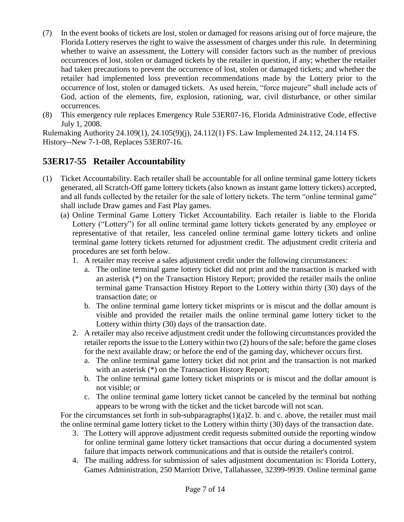- (7) In the event books of tickets are lost, stolen or damaged for reasons arising out of force majeure, the Florida Lottery reserves the right to waive the assessment of charges under this rule. In determining whether to waive an assessment, the Lottery will consider factors such as the number of previous occurrences of lost, stolen or damaged tickets by the retailer in question, if any; whether the retailer had taken precautions to prevent the occurrence of lost, stolen or damaged tickets; and whether the retailer had implemented loss prevention recommendations made by the Lottery prior to the occurrence of lost, stolen or damaged tickets. As used herein, "force majeure" shall include acts of God, action of the elements, fire, explosion, rationing, war, civil disturbance, or other similar occurrences.
- (8) This emergency rule replaces Emergency Rule 53ER07-16, Florida Administrative Code, effective July 1, 2008.

Rulemaking Authority 24.109(1), 24.105(9)(j), 24.112(1) FS. Law Implemented 24.112, 24.114 FS. History--New 7-1-08, Replaces 53ER07-16.

#### **53ER17-55 Retailer Accountability**

- (1) Ticket Accountability. Each retailer shall be accountable for all online terminal game lottery tickets generated, all Scratch-Off game lottery tickets (also known as instant game lottery tickets) accepted, and all funds collected by the retailer for the sale of lottery tickets. The term "online terminal game" shall include Draw games and Fast Play games.
	- (a) Online Terminal Game Lottery Ticket Accountability. Each retailer is liable to the Florida Lottery ("Lottery") for all online terminal game lottery tickets generated by any employee or representative of that retailer, less canceled online terminal game lottery tickets and online terminal game lottery tickets returned for adjustment credit. The adjustment credit criteria and procedures are set forth below.
		- 1. A retailer may receive a sales adjustment credit under the following circumstances:
			- a. The online terminal game lottery ticket did not print and the transaction is marked with an asterisk (\*) on the Transaction History Report; provided the retailer mails the online terminal game Transaction History Report to the Lottery within thirty (30) days of the transaction date; or
			- b. The online terminal game lottery ticket misprints or is miscut and the dollar amount is visible and provided the retailer mails the online terminal game lottery ticket to the Lottery within thirty (30) days of the transaction date.
		- 2. A retailer may also receive adjustment credit under the following circumstances provided the retailer reports the issue to the Lottery within two (2) hours of the sale; before the game closes for the next available draw; or before the end of the gaming day, whichever occurs first.
			- a. The online terminal game lottery ticket did not print and the transaction is not marked with an asterisk (\*) on the Transaction History Report;
			- b. The online terminal game lottery ticket misprints or is miscut and the dollar amount is not visible; or
			- c. The online terminal game lottery ticket cannot be canceled by the terminal but nothing appears to be wrong with the ticket and the ticket barcode will not scan.

For the circumstances set forth in sub-subparagraphs $(1)(a)2$ . b. and c. above, the retailer must mail the online terminal game lottery ticket to the Lottery within thirty (30) days of the transaction date.

- 3. The Lottery will approve adjustment credit requests submitted outside the reporting window for online terminal game lottery ticket transactions that occur during a documented system failure that impacts network communications and that is outside the retailer's control.
- 4. The mailing address for submission of sales adjustment documentation is: Florida Lottery, Games Administration, 250 Marriott Drive, Tallahassee, 32399-9939. Online terminal game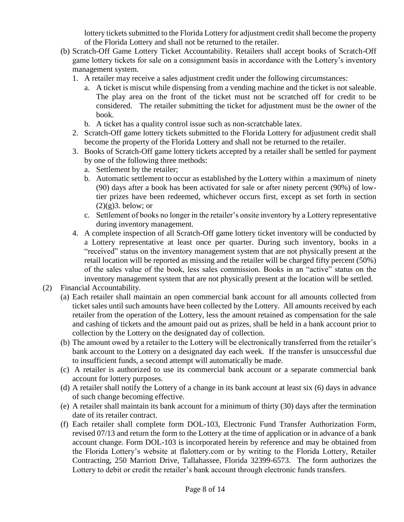lottery tickets submitted to the Florida Lottery for adjustment credit shall become the property of the Florida Lottery and shall not be returned to the retailer.

- (b) Scratch-Off Game Lottery Ticket Accountability. Retailers shall accept books of Scratch-Off game lottery tickets for sale on a consignment basis in accordance with the Lottery's inventory management system.
	- 1. A retailer may receive a sales adjustment credit under the following circumstances:
		- a. A ticket is miscut while dispensing from a vending machine and the ticket is not saleable. The play area on the front of the ticket must not be scratched off for credit to be considered. The retailer submitting the ticket for adjustment must be the owner of the book.
		- b. A ticket has a quality control issue such as non-scratchable latex.
	- 2. Scratch-Off game lottery tickets submitted to the Florida Lottery for adjustment credit shall become the property of the Florida Lottery and shall not be returned to the retailer.
	- 3. Books of Scratch-Off game lottery tickets accepted by a retailer shall be settled for payment by one of the following three methods:
		- a. Settlement by the retailer;
		- b. Automatic settlement to occur as established by the Lottery within a maximum of ninety (90) days after a book has been activated for sale or after ninety percent (90%) of lowtier prizes have been redeemed, whichever occurs first, except as set forth in section  $(2)(g)$ 3. below; or
		- c. Settlement of books no longer in the retailer's onsite inventory by a Lottery representative during inventory management.
	- 4. A complete inspection of all Scratch-Off game lottery ticket inventory will be conducted by a Lottery representative at least once per quarter. During such inventory, books in a "received" status on the inventory management system that are not physically present at the retail location will be reported as missing and the retailer will be charged fifty percent (50%) of the sales value of the book, less sales commission. Books in an "active" status on the inventory management system that are not physically present at the location will be settled.

#### (2) Financial Accountability.

- (a) Each retailer shall maintain an open commercial bank account for all amounts collected from ticket sales until such amounts have been collected by the Lottery. All amounts received by each retailer from the operation of the Lottery, less the amount retained as compensation for the sale and cashing of tickets and the amount paid out as prizes, shall be held in a bank account prior to collection by the Lottery on the designated day of collection.
- (b) The amount owed by a retailer to the Lottery will be electronically transferred from the retailer's bank account to the Lottery on a designated day each week. If the transfer is unsuccessful due to insufficient funds, a second attempt will automatically be made.
- (c) A retailer is authorized to use its commercial bank account or a separate commercial bank account for lottery purposes.
- (d) A retailer shall notify the Lottery of a change in its bank account at least six (6) days in advance of such change becoming effective.
- (e) A retailer shall maintain its bank account for a minimum of thirty (30) days after the termination date of its retailer contract.
- (f) Each retailer shall complete form DOL-103, Electronic Fund Transfer Authorization Form, revised 07/13 and return the form to the Lottery at the time of application or in advance of a bank account change. Form DOL-103 is incorporated herein by reference and may be obtained from the Florida Lottery's website at flalottery.com or by writing to the Florida Lottery, Retailer Contracting, 250 Marriott Drive, Tallahassee, Florida 32399-6573. The form authorizes the Lottery to debit or credit the retailer's bank account through electronic funds transfers.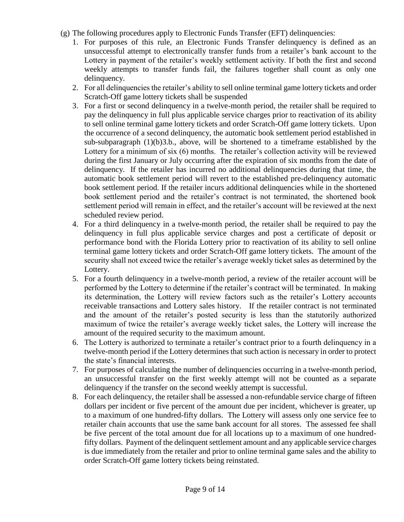- (g) The following procedures apply to Electronic Funds Transfer (EFT) delinquencies:
	- 1. For purposes of this rule, an Electronic Funds Transfer delinquency is defined as an unsuccessful attempt to electronically transfer funds from a retailer's bank account to the Lottery in payment of the retailer's weekly settlement activity. If both the first and second weekly attempts to transfer funds fail, the failures together shall count as only one delinquency.
	- 2. For all delinquencies the retailer's ability to sell online terminal game lottery tickets and order Scratch-Off game lottery tickets shall be suspended
	- 3. For a first or second delinquency in a twelve-month period, the retailer shall be required to pay the delinquency in full plus applicable service charges prior to reactivation of its ability to sell online terminal game lottery tickets and order Scratch-Off game lottery tickets. Upon the occurrence of a second delinquency, the automatic book settlement period established in sub-subparagraph  $(1)(b)3.b.,$  above, will be shortened to a timeframe established by the Lottery for a minimum of six (6) months. The retailer's collection activity will be reviewed during the first January or July occurring after the expiration of six months from the date of delinquency. If the retailer has incurred no additional delinquencies during that time, the automatic book settlement period will revert to the established pre-delinquency automatic book settlement period. If the retailer incurs additional delinquencies while in the shortened book settlement period and the retailer's contract is not terminated, the shortened book settlement period will remain in effect, and the retailer's account will be reviewed at the next scheduled review period.
	- 4. For a third delinquency in a twelve-month period, the retailer shall be required to pay the delinquency in full plus applicable service charges and post a certificate of deposit or performance bond with the Florida Lottery prior to reactivation of its ability to sell online terminal game lottery tickets and order Scratch-Off game lottery tickets. The amount of the security shall not exceed twice the retailer's average weekly ticket sales as determined by the Lottery.
	- 5. For a fourth delinquency in a twelve-month period, a review of the retailer account will be performed by the Lottery to determine if the retailer's contract will be terminated. In making its determination, the Lottery will review factors such as the retailer's Lottery accounts receivable transactions and Lottery sales history. If the retailer contract is not terminated and the amount of the retailer's posted security is less than the statutorily authorized maximum of twice the retailer's average weekly ticket sales, the Lottery will increase the amount of the required security to the maximum amount.
	- 6. The Lottery is authorized to terminate a retailer's contract prior to a fourth delinquency in a twelve-month period if the Lottery determines that such action is necessary in order to protect the state's financial interests.
	- 7. For purposes of calculating the number of delinquencies occurring in a twelve-month period, an unsuccessful transfer on the first weekly attempt will not be counted as a separate delinquency if the transfer on the second weekly attempt is successful.
	- 8. For each delinquency, the retailer shall be assessed a non-refundable service charge of fifteen dollars per incident or five percent of the amount due per incident, whichever is greater, up to a maximum of one hundred-fifty dollars. The Lottery will assess only one service fee to retailer chain accounts that use the same bank account for all stores. The assessed fee shall be five percent of the total amount due for all locations up to a maximum of one hundredfifty dollars. Payment of the delinquent settlement amount and any applicable service charges is due immediately from the retailer and prior to online terminal game sales and the ability to order Scratch-Off game lottery tickets being reinstated.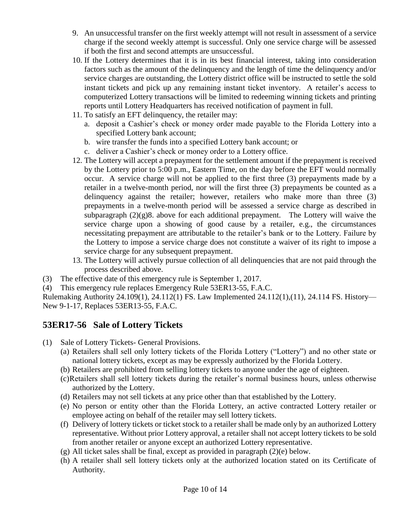- 9. An unsuccessful transfer on the first weekly attempt will not result in assessment of a service charge if the second weekly attempt is successful. Only one service charge will be assessed if both the first and second attempts are unsuccessful.
- 10. If the Lottery determines that it is in its best financial interest, taking into consideration factors such as the amount of the delinquency and the length of time the delinquency and/or service charges are outstanding, the Lottery district office will be instructed to settle the sold instant tickets and pick up any remaining instant ticket inventory. A retailer's access to computerized Lottery transactions will be limited to redeeming winning tickets and printing reports until Lottery Headquarters has received notification of payment in full.
- 11. To satisfy an EFT delinquency, the retailer may:
	- a. deposit a Cashier's check or money order made payable to the Florida Lottery into a specified Lottery bank account;
	- b. wire transfer the funds into a specified Lottery bank account; or
	- c. deliver a Cashier's check or money order to a Lottery office.
- 12. The Lottery will accept a prepayment for the settlement amount if the prepayment is received by the Lottery prior to 5:00 p.m., Eastern Time, on the day before the EFT would normally occur. A service charge will not be applied to the first three (3) prepayments made by a retailer in a twelve-month period, nor will the first three (3) prepayments be counted as a delinquency against the retailer; however, retailers who make more than three (3) prepayments in a twelve-month period will be assessed a service charge as described in subparagraph  $(2)(g)8$ . above for each additional prepayment. The Lottery will waive the service charge upon a showing of good cause by a retailer, e.g., the circumstances necessitating prepayment are attributable to the retailer's bank or to the Lottery. Failure by the Lottery to impose a service charge does not constitute a waiver of its right to impose a service charge for any subsequent prepayment.
- 13. The Lottery will actively pursue collection of all delinquencies that are not paid through the process described above.
- (3) The effective date of this emergency rule is September 1, 2017.
- (4) This emergency rule replaces Emergency Rule 53ER13-55, F.A.C.

Rulemaking Authority 24.109(1), 24.112(1) FS. Law Implemented 24.112(1),(11), 24.114 FS. History— New 9-1-17, Replaces 53ER13-55, F.A.C.

#### **53ER17-56 Sale of Lottery Tickets**

- (1) Sale of Lottery Tickets- General Provisions.
	- (a) Retailers shall sell only lottery tickets of the Florida Lottery ("Lottery") and no other state or national lottery tickets, except as may be expressly authorized by the Florida Lottery.
	- (b) Retailers are prohibited from selling lottery tickets to anyone under the age of eighteen.
	- (c)Retailers shall sell lottery tickets during the retailer's normal business hours, unless otherwise authorized by the Lottery.
	- (d) Retailers may not sell tickets at any price other than that established by the Lottery.
	- (e) No person or entity other than the Florida Lottery, an active contracted Lottery retailer or employee acting on behalf of the retailer may sell lottery tickets.
	- (f) Delivery of lottery tickets or ticket stock to a retailer shall be made only by an authorized Lottery representative. Without prior Lottery approval, a retailer shall not accept lottery tickets to be sold from another retailer or anyone except an authorized Lottery representative.
	- $(g)$  All ticket sales shall be final, except as provided in paragraph  $(2)(e)$  below.
	- (h) A retailer shall sell lottery tickets only at the authorized location stated on its Certificate of Authority.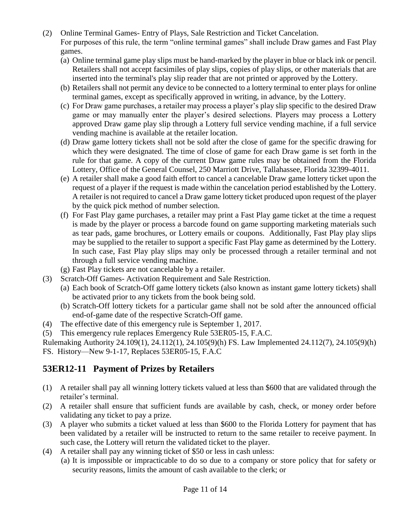- (2) Online Terminal Games- Entry of Plays, Sale Restriction and Ticket Cancelation. For purposes of this rule, the term "online terminal games" shall include Draw games and Fast Play games.
	- (a) Online terminal game play slips must be hand-marked by the player in blue or black ink or pencil. Retailers shall not accept facsimiles of play slips, copies of play slips, or other materials that are inserted into the terminal's play slip reader that are not printed or approved by the Lottery.
	- (b) Retailers shall not permit any device to be connected to a lottery terminal to enter plays for online terminal games, except as specifically approved in writing, in advance, by the Lottery.
	- (c) For Draw game purchases, a retailer may process a player's play slip specific to the desired Draw game or may manually enter the player's desired selections. Players may process a Lottery approved Draw game play slip through a Lottery full service vending machine, if a full service vending machine is available at the retailer location.
	- (d) Draw game lottery tickets shall not be sold after the close of game for the specific drawing for which they were designated. The time of close of game for each Draw game is set forth in the rule for that game. A copy of the current Draw game rules may be obtained from the Florida Lottery, Office of the General Counsel, 250 Marriott Drive, Tallahassee, Florida 32399-4011.
	- (e) A retailer shall make a good faith effort to cancel a cancelable Draw game lottery ticket upon the request of a player if the request is made within the cancelation period established by the Lottery. A retailer is not required to cancel a Draw game lottery ticket produced upon request of the player by the quick pick method of number selection.
	- (f) For Fast Play game purchases, a retailer may print a Fast Play game ticket at the time a request is made by the player or process a barcode found on game supporting marketing materials such as tear pads, game brochures, or Lottery emails or coupons. Additionally, Fast Play play slips may be supplied to the retailer to support a specific Fast Play game as determined by the Lottery. In such case, Fast Play play slips may only be processed through a retailer terminal and not through a full service vending machine.
	- (g) Fast Play tickets are not cancelable by a retailer.
- (3) Scratch-Off Games- Activation Requirement and Sale Restriction.
	- (a) Each book of Scratch-Off game lottery tickets (also known as instant game lottery tickets) shall be activated prior to any tickets from the book being sold.
	- (b) Scratch-Off lottery tickets for a particular game shall not be sold after the announced official end-of-game date of the respective Scratch-Off game.
- (4) The effective date of this emergency rule is September 1, 2017.
- (5) This emergency rule replaces Emergency Rule 53ER05-15, F.A.C.

Rulemaking Authority 24.109(1), 24.112(1), 24.105(9)(h) FS. Law Implemented 24.112(7), 24.105(9)(h)

FS. History—New 9-1-17, Replaces 53ER05-15, F.A.C

#### **53ER12-11 Payment of Prizes by Retailers**

- (1) A retailer shall pay all winning lottery tickets valued at less than \$600 that are validated through the retailer's terminal.
- (2) A retailer shall ensure that sufficient funds are available by cash, check, or money order before validating any ticket to pay a prize.
- (3) A player who submits a ticket valued at less than \$600 to the Florida Lottery for payment that has been validated by a retailer will be instructed to return to the same retailer to receive payment. In such case, the Lottery will return the validated ticket to the player.
- (4) A retailer shall pay any winning ticket of \$50 or less in cash unless:
	- (a) It is impossible or impracticable to do so due to a company or store policy that for safety or security reasons, limits the amount of cash available to the clerk; or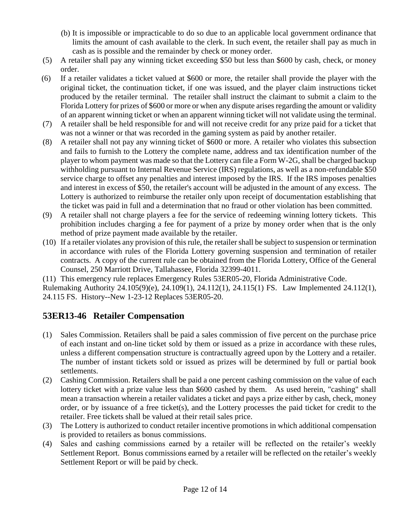- (b) It is impossible or impracticable to do so due to an applicable local government ordinance that limits the amount of cash available to the clerk. In such event, the retailer shall pay as much in cash as is possible and the remainder by check or money order.
- (5) A retailer shall pay any winning ticket exceeding \$50 but less than \$600 by cash, check, or money order.
- (6) If a retailer validates a ticket valued at \$600 or more, the retailer shall provide the player with the original ticket, the continuation ticket, if one was issued, and the player claim instructions ticket produced by the retailer terminal. The retailer shall instruct the claimant to submit a claim to the Florida Lottery for prizes of \$600 or more or when any dispute arises regarding the amount or validity of an apparent winning ticket or when an apparent winning ticket will not validate using the terminal.
- (7) A retailer shall be held responsible for and will not receive credit for any prize paid for a ticket that was not a winner or that was recorded in the gaming system as paid by another retailer.
- (8) A retailer shall not pay any winning ticket of \$600 or more. A retailer who violates this subsection and fails to furnish to the Lottery the complete name, address and tax identification number of the player to whom payment was made so that the Lottery can file a Form W-2G, shall be charged backup withholding pursuant to Internal Revenue Service (IRS) regulations, as well as a non-refundable \$50 service charge to offset any penalties and interest imposed by the IRS. If the IRS imposes penalties and interest in excess of \$50, the retailer's account will be adjusted in the amount of any excess. The Lottery is authorized to reimburse the retailer only upon receipt of documentation establishing that the ticket was paid in full and a determination that no fraud or other violation has been committed.
- (9) A retailer shall not charge players a fee for the service of redeeming winning lottery tickets. This prohibition includes charging a fee for payment of a prize by money order when that is the only method of prize payment made available by the retailer.
- (10) If a retailer violates any provision of this rule, the retailer shall be subject to suspension or termination in accordance with rules of the Florida Lottery governing suspension and termination of retailer contracts. A copy of the current rule can be obtained from the Florida Lottery, Office of the General Counsel, 250 Marriott Drive, Tallahassee, Florida 32399-4011.

(11) This emergency rule replaces Emergency Rules 53ER05-20, Florida Administrative Code. Rulemaking Authority 24.105(9)(e), 24.109(1), 24.112(1), 24.115(1) FS. Law Implemented 24.112(1), 24.115 FS. History--New 1-23-12 Replaces 53ER05-20.

#### **53ER13-46 Retailer Compensation**

- (1) Sales Commission. Retailers shall be paid a sales commission of five percent on the purchase price of each instant and on-line ticket sold by them or issued as a prize in accordance with these rules, unless a different compensation structure is contractually agreed upon by the Lottery and a retailer. The number of instant tickets sold or issued as prizes will be determined by full or partial book settlements.
- (2) Cashing Commission. Retailers shall be paid a one percent cashing commission on the value of each lottery ticket with a prize value less than \$600 cashed by them. As used herein, "cashing" shall mean a transaction wherein a retailer validates a ticket and pays a prize either by cash, check, money order, or by issuance of a free ticket(s), and the Lottery processes the paid ticket for credit to the retailer. Free tickets shall be valued at their retail sales price.
- (3) The Lottery is authorized to conduct retailer incentive promotions in which additional compensation is provided to retailers as bonus commissions.
- (4) Sales and cashing commissions earned by a retailer will be reflected on the retailer's weekly Settlement Report. Bonus commissions earned by a retailer will be reflected on the retailer's weekly Settlement Report or will be paid by check.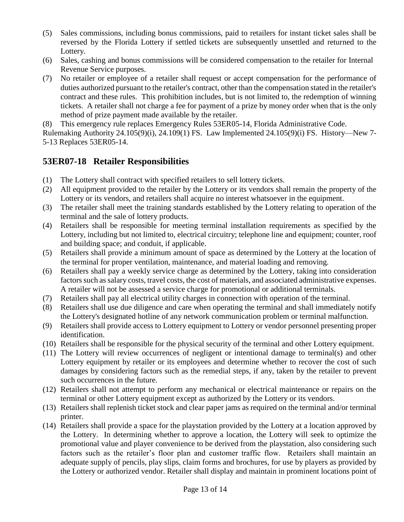- (5) Sales commissions, including bonus commissions, paid to retailers for instant ticket sales shall be reversed by the Florida Lottery if settled tickets are subsequently unsettled and returned to the Lottery.
- (6) Sales, cashing and bonus commissions will be considered compensation to the retailer for Internal Revenue Service purposes.
- (7) No retailer or employee of a retailer shall request or accept compensation for the performance of duties authorized pursuant to the retailer's contract, other than the compensation stated in the retailer's contract and these rules. This prohibition includes, but is not limited to, the redemption of winning tickets. A retailer shall not charge a fee for payment of a prize by money order when that is the only method of prize payment made available by the retailer.

(8) This emergency rule replaces Emergency Rules 53ER05-14, Florida Administrative Code.

Rulemaking Authority 24.105(9)(i), 24.109(1) FS. Law Implemented 24.105(9)(i) FS. History—New 7- 5-13 Replaces 53ER05-14.

#### **53ER07-18 Retailer Responsibilities**

- (1) The Lottery shall contract with specified retailers to sell lottery tickets.
- (2) All equipment provided to the retailer by the Lottery or its vendors shall remain the property of the Lottery or its vendors, and retailers shall acquire no interest whatsoever in the equipment.
- (3) The retailer shall meet the training standards established by the Lottery relating to operation of the terminal and the sale of lottery products.
- (4) Retailers shall be responsible for meeting terminal installation requirements as specified by the Lottery, including but not limited to, electrical circuitry; telephone line and equipment; counter, roof and building space; and conduit, if applicable.
- (5) Retailers shall provide a minimum amount of space as determined by the Lottery at the location of the terminal for proper ventilation, maintenance, and material loading and removing.
- (6) Retailers shall pay a weekly service charge as determined by the Lottery, taking into consideration factors such as salary costs, travel costs, the cost of materials, and associated administrative expenses. A retailer will not be assessed a service charge for promotional or additional terminals.
- (7) Retailers shall pay all electrical utility charges in connection with operation of the terminal.
- (8) Retailers shall use due diligence and care when operating the terminal and shall immediately notify the Lottery's designated hotline of any network communication problem or terminal malfunction.
- (9) Retailers shall provide access to Lottery equipment to Lottery or vendor personnel presenting proper identification.
- (10) Retailers shall be responsible for the physical security of the terminal and other Lottery equipment.
- (11) The Lottery will review occurrences of negligent or intentional damage to terminal(s) and other Lottery equipment by retailer or its employees and determine whether to recover the cost of such damages by considering factors such as the remedial steps, if any, taken by the retailer to prevent such occurrences in the future.
- (12) Retailers shall not attempt to perform any mechanical or electrical maintenance or repairs on the terminal or other Lottery equipment except as authorized by the Lottery or its vendors.
- (13) Retailers shall replenish ticket stock and clear paper jams as required on the terminal and/or terminal printer.
- (14) Retailers shall provide a space for the playstation provided by the Lottery at a location approved by the Lottery. In determining whether to approve a location, the Lottery will seek to optimize the promotional value and player convenience to be derived from the playstation, also considering such factors such as the retailer's floor plan and customer traffic flow. Retailers shall maintain an adequate supply of pencils, play slips, claim forms and brochures, for use by players as provided by the Lottery or authorized vendor. Retailer shall display and maintain in prominent locations point of